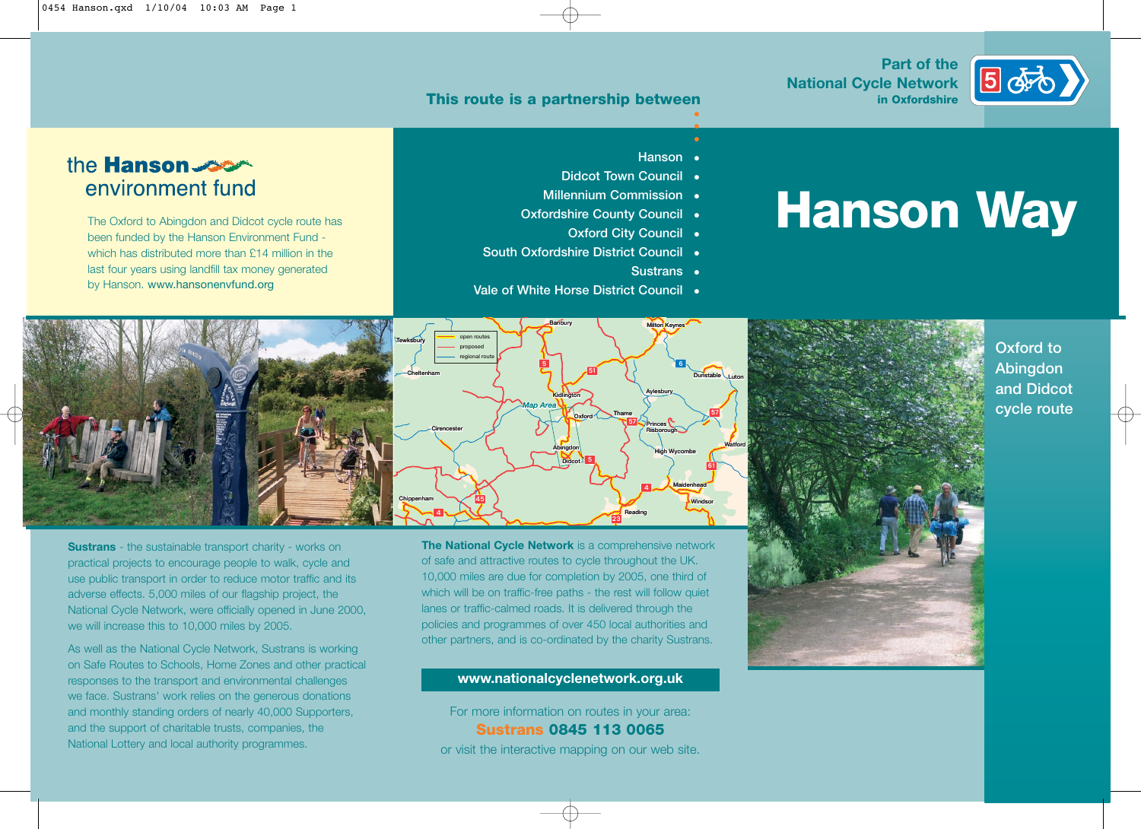#### **This route is a partnership between**

#### **Part of the National Cycle Network in Oxfordshire**



## **•**

### the **Hanson** environment fund

The Oxford to Abingdon and Didcot cycle route has been funded by the Hanson Environment Fund which has distributed more than £14 million in the last four years using landfill tax money generated by Hanson. www.hansonenvfund.org

#### **• Hanson**

**•**

- **Didcot Town Council**
- **• Millennium Commission**

**Banbury Milton Keynes**

- **• Oxfordshire County Council**
	- **• Oxford City Council**
- **• South Oxfordshire District Council** 
	- **• Sustrans**

**Aylesbury ylesbury**

**Princes Risborough**

**High Wycombe**

**Maidenhead**

4

**Reading**

57

**Thame**

23

**• Vale of White Horse District Council** 

51

5

**Oxford**

**Didcot**

**Abingdon**

**Kidlington**

*Map Area*

# **Hanson Way**



**Sustrans** - the sustainable transport charity - works on practical projects to encourage people to walk, cycle and use public transport in order to reduce motor traffic and its adverse effects. 5,000 miles of our flagship project, the National Cycle Network, were officially opened in June 2000, we will increase this to 10,000 miles by 2005.

As well as the National Cycle Network, Sustrans is working on Safe Routes to Schools, Home Zones and other practical responses to the transport and environmental challenges we face. Sustrans' work relies on the generous donations and monthly standing orders of nearly 40,000 Supporters, and the support of charitable trusts, companies, the National Lottery and local authority programmes.

**The National Cycle Network** is a comprehensive network of safe and attractive routes to cycle throughout the UK. 10,000 miles are due for completion by 2005, one third of which will be on traffic-free paths - the rest will follow quiet lanes or traffic-calmed roads. It is delivered through the policies and programmes of over 450 local authorities and other partners, and is co-ordinated by the charity Sustrans.

45

**open routes proposed regional route**

4

**Cirencester**

#### **www.nationalcyclenetwork.org.uk**

For more information on routes in your area: **Sustrans 0845 113 0065** or visit the interactive mapping on our web site.



#### **Oxford to Abingdon and Didcot cycle route**